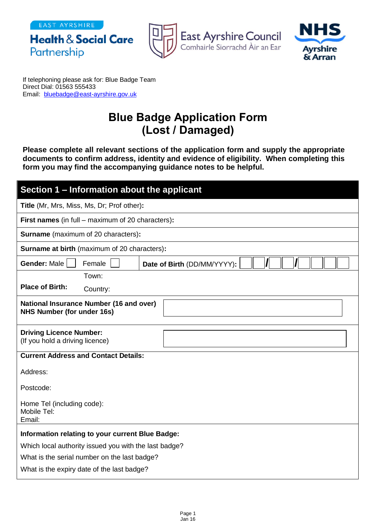EAST AYRSHIRE

Partnership

**Health & Social Care** 



East Ayrshire Council<br>Comhairle Siorrachd Àir an Ear



If telephoning please ask for: Blue Badge Team Direct Dial: 01563 555433 Email: [bluebadge@east-ayrshire.gov.uk](mailto:bluebadge@east-ayrshire.gov.uk)

## **Blue Badge Application Form (Lost / Damaged)**

**Please complete all relevant sections of the application form and supply the appropriate documents to confirm address, identity and evidence of eligibility. When completing this form you may find the accompanying guidance notes to be helpful.**

| Section 1 - Information about the applicant                                         |  |  |
|-------------------------------------------------------------------------------------|--|--|
| Title (Mr, Mrs, Miss, Ms, Dr; Prof other):                                          |  |  |
| <b>First names</b> (in full – maximum of 20 characters):                            |  |  |
| <b>Surname</b> (maximum of 20 characters):                                          |  |  |
| <b>Surname at birth (maximum of 20 characters):</b>                                 |  |  |
| Gender: Male<br>Female<br>Date of Birth (DD/MM/YYYY):                               |  |  |
| Town:                                                                               |  |  |
| <b>Place of Birth:</b><br>Country:                                                  |  |  |
| <b>National Insurance Number (16 and over)</b><br><b>NHS Number (for under 16s)</b> |  |  |
| <b>Driving Licence Number:</b><br>(If you hold a driving licence)                   |  |  |
| <b>Current Address and Contact Details:</b>                                         |  |  |
| Address:                                                                            |  |  |
| Postcode:                                                                           |  |  |
| Home Tel (including code):<br>Mobile Tel:<br>Email:                                 |  |  |
| Information relating to your current Blue Badge:                                    |  |  |
| Which local authority issued you with the last badge?                               |  |  |
| What is the serial number on the last badge?                                        |  |  |
| What is the expiry date of the last badge?                                          |  |  |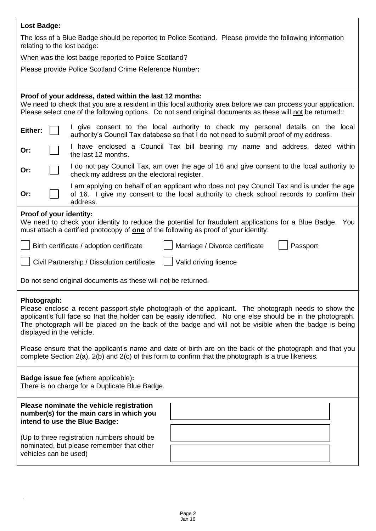| <b>Lost Badge:</b>                                                                                                                                                                                                                                                                                                                                                        |  |  |
|---------------------------------------------------------------------------------------------------------------------------------------------------------------------------------------------------------------------------------------------------------------------------------------------------------------------------------------------------------------------------|--|--|
| The loss of a Blue Badge should be reported to Police Scotland. Please provide the following information<br>relating to the lost badge:                                                                                                                                                                                                                                   |  |  |
| When was the lost badge reported to Police Scotland?                                                                                                                                                                                                                                                                                                                      |  |  |
| Please provide Police Scotland Crime Reference Number:                                                                                                                                                                                                                                                                                                                    |  |  |
|                                                                                                                                                                                                                                                                                                                                                                           |  |  |
| Proof of your address, dated within the last 12 months:<br>We need to check that you are a resident in this local authority area before we can process your application.<br>Please select one of the following options. Do not send original documents as these will not be returned::                                                                                    |  |  |
| I give consent to the local authority to check my personal details on the local<br>Either:<br>authority's Council Tax database so that I do not need to submit proof of my address.                                                                                                                                                                                       |  |  |
| I have enclosed a Council Tax bill bearing my name and address, dated within<br>Or:<br>the last 12 months.                                                                                                                                                                                                                                                                |  |  |
| I do not pay Council Tax, am over the age of 16 and give consent to the local authority to<br>Or:<br>check my address on the electoral register.                                                                                                                                                                                                                          |  |  |
| I am applying on behalf of an applicant who does not pay Council Tax and is under the age<br>of 16. I give my consent to the local authority to check school records to confirm their<br>Or:<br>address.                                                                                                                                                                  |  |  |
| Proof of your identity:<br>We need to check your identity to reduce the potential for fraudulent applications for a Blue Badge. You<br>must attach a certified photocopy of <b>one</b> of the following as proof of your identity:                                                                                                                                        |  |  |
| Passport<br>Birth certificate / adoption certificate<br>Marriage / Divorce certificate                                                                                                                                                                                                                                                                                    |  |  |
| Civil Partnership / Dissolution certificate<br>Valid driving licence                                                                                                                                                                                                                                                                                                      |  |  |
| Do not send original documents as these will not be returned.                                                                                                                                                                                                                                                                                                             |  |  |
| Photograph:<br>Please enclose a recent passport-style photograph of the applicant. The photograph needs to show the<br>applicant's full face so that the holder can be easily identified. No one else should be in the photograph.<br>The photograph will be placed on the back of the badge and will not be visible when the badge is being<br>displayed in the vehicle. |  |  |
| Please ensure that the applicant's name and date of birth are on the back of the photograph and that you<br>complete Section 2(a), 2(b) and 2(c) of this form to confirm that the photograph is a true likeness.                                                                                                                                                          |  |  |
| <b>Badge issue fee (where applicable):</b><br>There is no charge for a Duplicate Blue Badge.                                                                                                                                                                                                                                                                              |  |  |
| Please nominate the vehicle registration<br>number(s) for the main cars in which you<br>intend to use the Blue Badge:                                                                                                                                                                                                                                                     |  |  |
| (Up to three registration numbers should be<br>nominated, but please remember that other                                                                                                                                                                                                                                                                                  |  |  |
| vehicles can be used)                                                                                                                                                                                                                                                                                                                                                     |  |  |

 $\ddot{\phantom{0}}$